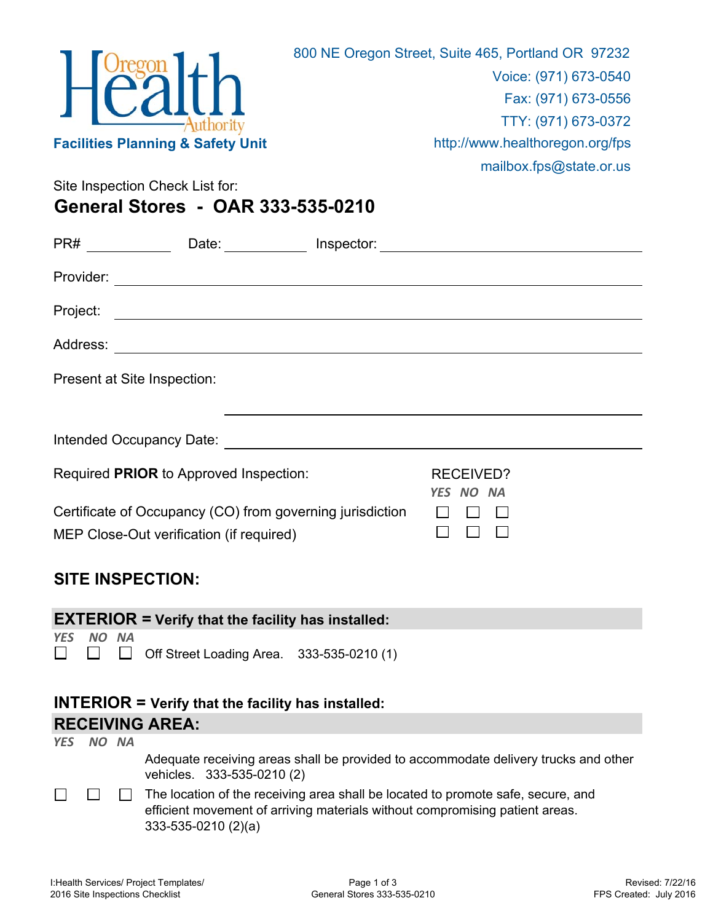

Site Inspection Check List for:

## **General Stores - OAR 333-535-0210**

| Project: |                                                                                                       |                               |  |
|----------|-------------------------------------------------------------------------------------------------------|-------------------------------|--|
|          |                                                                                                       |                               |  |
|          | Present at Site Inspection:                                                                           |                               |  |
|          |                                                                                                       |                               |  |
|          |                                                                                                       |                               |  |
|          | Required PRIOR to Approved Inspection:                                                                | <b>RECEIVED?</b><br>YES NO NA |  |
|          | Certificate of Occupancy (CO) from governing jurisdiction<br>MEP Close-Out verification (if required) |                               |  |

## **SITE INSPECTION:**

|                                                                        |           |  | <b>EXTERIOR = Verify that the facility has installed:</b>                           |
|------------------------------------------------------------------------|-----------|--|-------------------------------------------------------------------------------------|
|                                                                        |           |  |                                                                                     |
| <b>YFS</b>                                                             | NO NA     |  |                                                                                     |
|                                                                        |           |  |                                                                                     |
| $\begin{array}{ccc} \square & \square & \square & \square \end{array}$ |           |  | Off Street Loading Area. 333-535-0210 (1)                                           |
|                                                                        |           |  |                                                                                     |
|                                                                        |           |  |                                                                                     |
|                                                                        |           |  |                                                                                     |
|                                                                        |           |  |                                                                                     |
| $INTERIOR = Verify that the facility has installed:$                   |           |  |                                                                                     |
|                                                                        |           |  |                                                                                     |
|                                                                        |           |  | <b>RECEIVING AREA:</b>                                                              |
|                                                                        |           |  |                                                                                     |
|                                                                        | YES NO NA |  |                                                                                     |
|                                                                        |           |  | Adequate receiving areas shall be provided to accommodate delivery trucks and other |
|                                                                        |           |  |                                                                                     |

vehicles. 333-535-0210 (2)

 $\Box$  $\Box$  The location of the receiving area shall be located to promote safe, secure, and efficient movement of arriving materials without compromising patient areas. 333-535-0210 (2)(a)

 $\Box$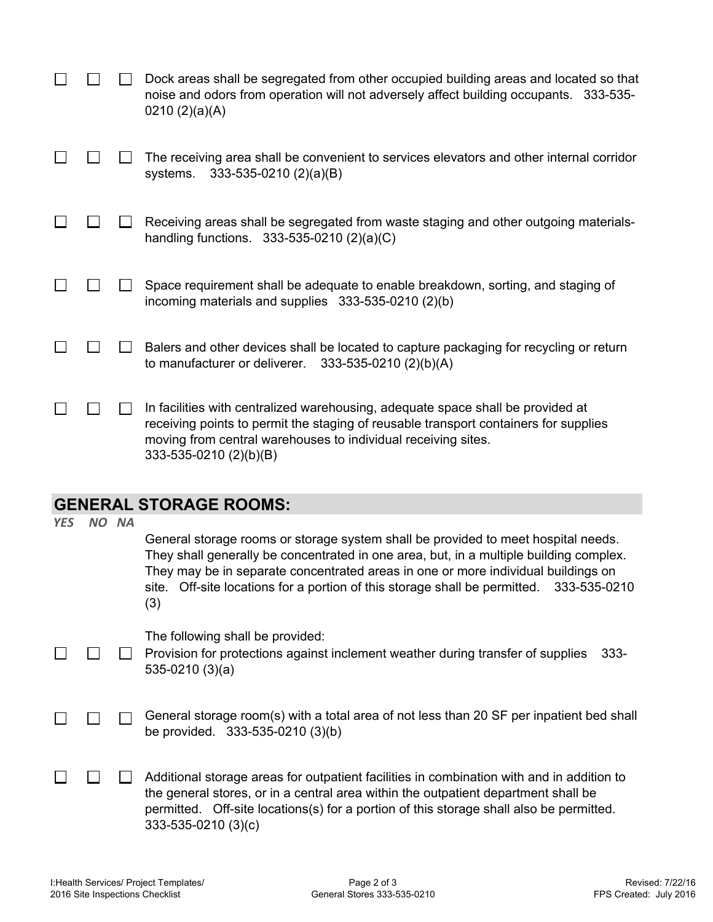|  | Dock areas shall be segregated from other occupied building areas and located so that<br>noise and odors from operation will not adversely affect building occupants. 333-535-<br>0210(2)(a)(A)                                                                    |
|--|--------------------------------------------------------------------------------------------------------------------------------------------------------------------------------------------------------------------------------------------------------------------|
|  | The receiving area shall be convenient to services elevators and other internal corridor<br>systems. 333-535-0210 (2)(a)(B)                                                                                                                                        |
|  | Receiving areas shall be segregated from waste staging and other outgoing materials-<br>handling functions. $333-535-0210(2)(a)(C)$                                                                                                                                |
|  | Space requirement shall be adequate to enable breakdown, sorting, and staging of<br>incoming materials and supplies 333-535-0210 (2)(b)                                                                                                                            |
|  | Balers and other devices shall be located to capture packaging for recycling or return<br>to manufacturer or deliverer.<br>333-535-0210 (2)(b)(A)                                                                                                                  |
|  | In facilities with centralized warehousing, adequate space shall be provided at<br>receiving points to permit the staging of reusable transport containers for supplies<br>moving from central warehouses to individual receiving sites.<br>333-535-0210 (2)(b)(B) |

## **GENERAL STORAGE ROOMS:**

| <b>YES</b> | NO NA | General storage rooms or storage system shall be provided to meet hospital needs.<br>They shall generally be concentrated in one area, but, in a multiple building complex.<br>They may be in separate concentrated areas in one or more individual buildings on<br>Off-site locations for a portion of this storage shall be permitted. 333-535-0210<br>site.<br>(3) |
|------------|-------|-----------------------------------------------------------------------------------------------------------------------------------------------------------------------------------------------------------------------------------------------------------------------------------------------------------------------------------------------------------------------|
|            |       | The following shall be provided:<br>Provision for protections against inclement weather during transfer of supplies<br>$333 -$<br>$535-0210(3)(a)$                                                                                                                                                                                                                    |
|            |       | General storage room(s) with a total area of not less than 20 SF per inpatient bed shall<br>be provided. 333-535-0210 (3)(b)                                                                                                                                                                                                                                          |
|            |       | Additional storage areas for outpatient facilities in combination with and in addition to<br>the general stores, or in a central area within the outpatient department shall be<br>permitted. Off-site locations(s) for a portion of this storage shall also be permitted.<br>333-535-0210 (3)(c)                                                                     |